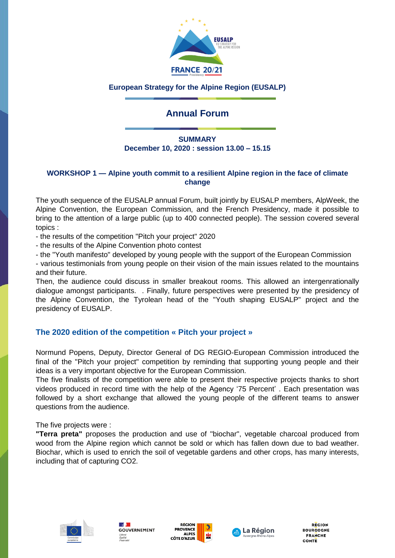

### **European Strategy for the Alpine Region (EUSALP)**

# **Annual Forum**

### **SUMMARY December 10, 2020 : session 13.00 – 15.15**

#### **WORKSHOP 1 — Alpine youth commit to a resilient Alpine region in the face of climate change**

The youth sequence of the EUSALP annual Forum, built jointly by EUSALP members, AlpWeek, the Alpine Convention, the European Commission, and the French Presidency, made it possible to bring to the attention of a large public (up to 400 connected people). The session covered several topics :

- the results of the competition "Pitch your project" 2020

- the results of the Alpine Convention photo contest

- the "Youth manifesto" developed by young people with the support of the European Commission

- various testimonials from young people on their vision of the main issues related to the mountains and their future.

Then, the audience could discuss in smaller breakout rooms. This allowed an intergenrationally dialogue amongst participants. . Finally, future perspectives were presented by the presidency of the Alpine Convention, the Tyrolean head of the "Youth shaping EUSALP" project and the presidency of EUSALP.

## **The 2020 edition of the competition « Pitch your project »**

Normund Popens, Deputy, Director General of DG REGIO-European Commission introduced the final of the "Pitch your project" competition by reminding that supporting young people and their ideas is a very important objective for the European Commission.

The five finalists of the competition were able to present their respective projects thanks to short videos produced in record time with the help of the Agency '75 Percent' . Each presentation was followed by a short exchange that allowed the young people of the different teams to answer questions from the audience.

The five projects were :

**"Terra preta"** proposes the production and use of "biochar", vegetable charcoal produced from wood from the Alpine region which cannot be sold or which has fallen down due to bad weather. Biochar, which is used to enrich the soil of vegetable gardens and other crops, has many interests, including that of capturing CO2.









**REGION BOURGOGNE FRANCHE** COMTE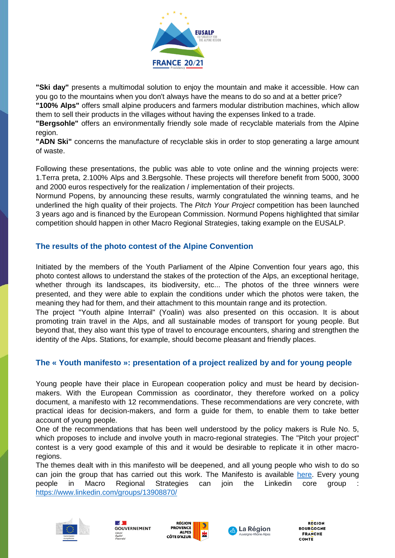

**"Ski day"** presents a multimodal solution to enjoy the mountain and make it accessible. How can you go to the mountains when you don't always have the means to do so and at a better price?

**"100% Alps"** offers small alpine producers and farmers modular distribution machines, which allow them to sell their products in the villages without having the expenses linked to a trade.

**"Bergsohle"** offers an environmentally friendly sole made of recyclable materials from the Alpine region.

**"ADN Ski"** concerns the manufacture of recyclable skis in order to stop generating a large amount of waste.

Following these presentations, the public was able to vote online and the winning projects were: 1.Terra preta, 2.100% Alps and 3.Bergsohle. These projects will therefore benefit from 5000, 3000 and 2000 euros respectively for the realization / implementation of their projects.

Normund Popens, by announcing these results, warmly congratulated the winning teams, and he underlined the high quality of their projects. The *Pitch Your Project* competition has been launched 3 years ago and is financed by the European Commission. Normund Popens highlighted that similar competition should happen in other Macro Regional Strategies, taking example on the EUSALP.

## **The results of the photo contest of the Alpine Convention**

Initiated by the members of the Youth Parliament of the Alpine Convention four years ago, this photo contest allows to understand the stakes of the protection of the Alps, an exceptional heritage, whether through its landscapes, its biodiversity, etc... The photos of the three winners were presented, and they were able to explain the conditions under which the photos were taken, the meaning they had for them, and their attachment to this mountain range and its protection.

The project "Youth alpine Interrail" (Yoalin) was also presented on this occasion. It is about promoting train travel in the Alps, and all sustainable modes of transport for young people. But beyond that, they also want this type of travel to encourage encounters, sharing and strengthen the identity of the Alps. Stations, for example, should become pleasant and friendly places.

## **The « Youth manifesto »: presentation of a project realized by and for young people**

Young people have their place in European cooperation policy and must be heard by decisionmakers. With the European Commission as coordinator, they therefore worked on a policy document, a manifesto with 12 recommendations. These recommendations are very concrete, with practical ideas for decision-makers, and form a guide for them, to enable them to take better account of young people.

One of the recommendations that has been well understood by the policy makers is Rule No. 5, which proposes to include and involve youth in macro-regional strategies. The "Pitch your project" contest is a very good example of this and it would be desirable to replicate it in other macroregions.

The themes dealt with in this manifesto will be deepened, and all young people who wish to do so can join the group that has carried out this work. The Manifesto is available [here.](https://ec.europa.eu/regional_policy/sources/docgener/brochure/youth_manifesto_interreg_en.pdf) Every young people in Macro Regional Strategies can join the Linkedin core group : <https://www.linkedin.com/groups/13908870/>









**REGION ROURCOCNE FRANCHE** COMTE